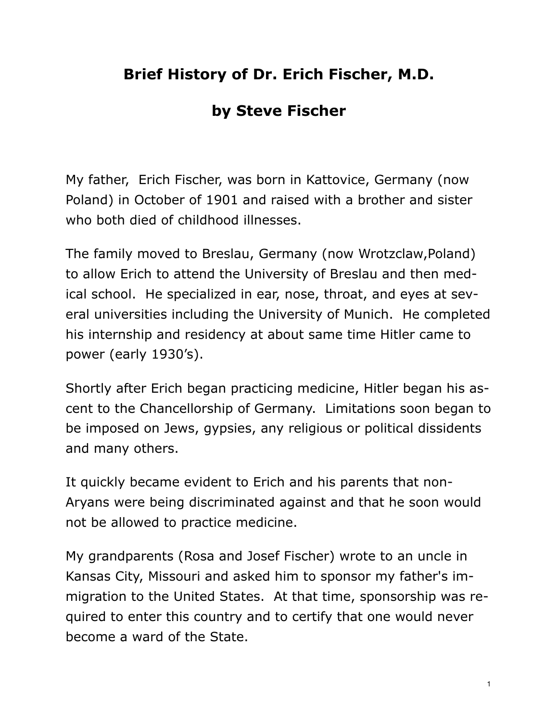## **Brief History of Dr. Erich Fischer, M.D.**

## **by Steve Fischer**

My father, Erich Fischer, was born in Kattovice, Germany (now Poland) in October of 1901 and raised with a brother and sister who both died of childhood illnesses.

The family moved to Breslau, Germany (now Wrotzclaw,Poland) to allow Erich to attend the University of Breslau and then medical school. He specialized in ear, nose, throat, and eyes at several universities including the University of Munich. He completed his internship and residency at about same time Hitler came to power (early 1930's).

Shortly after Erich began practicing medicine, Hitler began his ascent to the Chancellorship of Germany. Limitations soon began to be imposed on Jews, gypsies, any religious or political dissidents and many others.

It quickly became evident to Erich and his parents that non-Aryans were being discriminated against and that he soon would not be allowed to practice medicine.

My grandparents (Rosa and Josef Fischer) wrote to an uncle in Kansas City, Missouri and asked him to sponsor my father's immigration to the United States. At that time, sponsorship was required to enter this country and to certify that one would never become a ward of the State.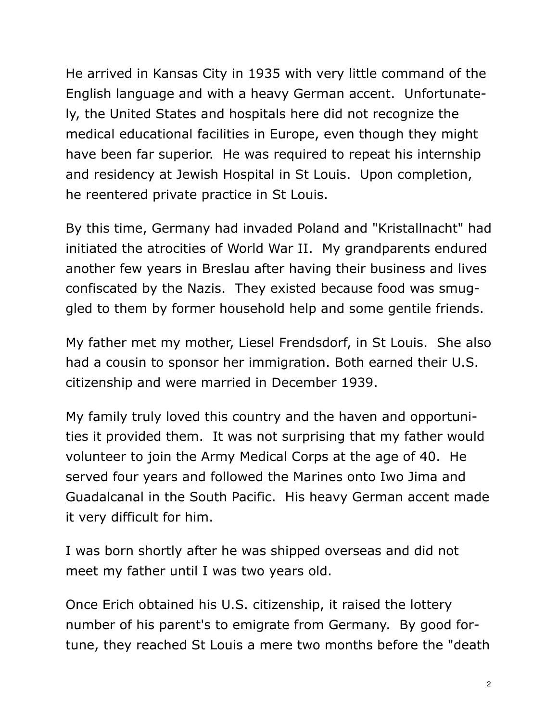He arrived in Kansas City in 1935 with very little command of the English language and with a heavy German accent. Unfortunately, the United States and hospitals here did not recognize the medical educational facilities in Europe, even though they might have been far superior. He was required to repeat his internship and residency at Jewish Hospital in St Louis. Upon completion, he reentered private practice in St Louis.

By this time, Germany had invaded Poland and "Kristallnacht" had initiated the atrocities of World War II. My grandparents endured another few years in Breslau after having their business and lives confiscated by the Nazis. They existed because food was smuggled to them by former household help and some gentile friends.

My father met my mother, Liesel Frendsdorf, in St Louis. She also had a cousin to sponsor her immigration. Both earned their U.S. citizenship and were married in December 1939.

My family truly loved this country and the haven and opportunities it provided them. It was not surprising that my father would volunteer to join the Army Medical Corps at the age of 40. He served four years and followed the Marines onto Iwo Jima and Guadalcanal in the South Pacific. His heavy German accent made it very difficult for him.

I was born shortly after he was shipped overseas and did not meet my father until I was two years old.

Once Erich obtained his U.S. citizenship, it raised the lottery number of his parent's to emigrate from Germany. By good fortune, they reached St Louis a mere two months before the "death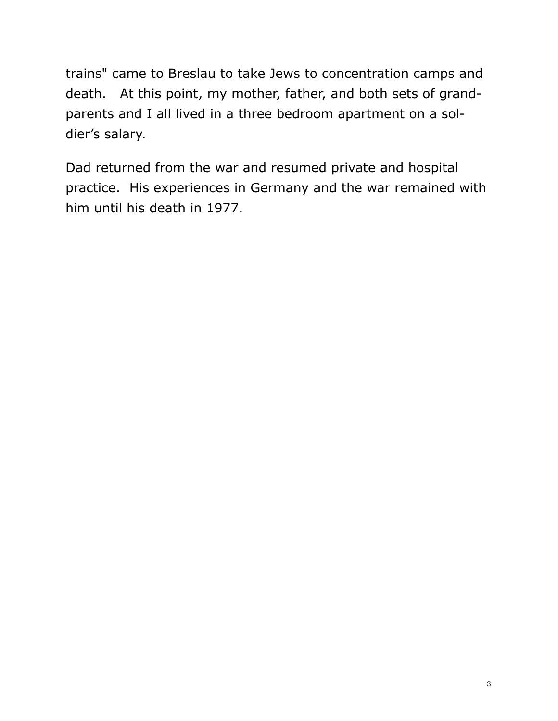trains" came to Breslau to take Jews to concentration camps and death. At this point, my mother, father, and both sets of grandparents and I all lived in a three bedroom apartment on a soldier's salary.

Dad returned from the war and resumed private and hospital practice. His experiences in Germany and the war remained with him until his death in 1977.